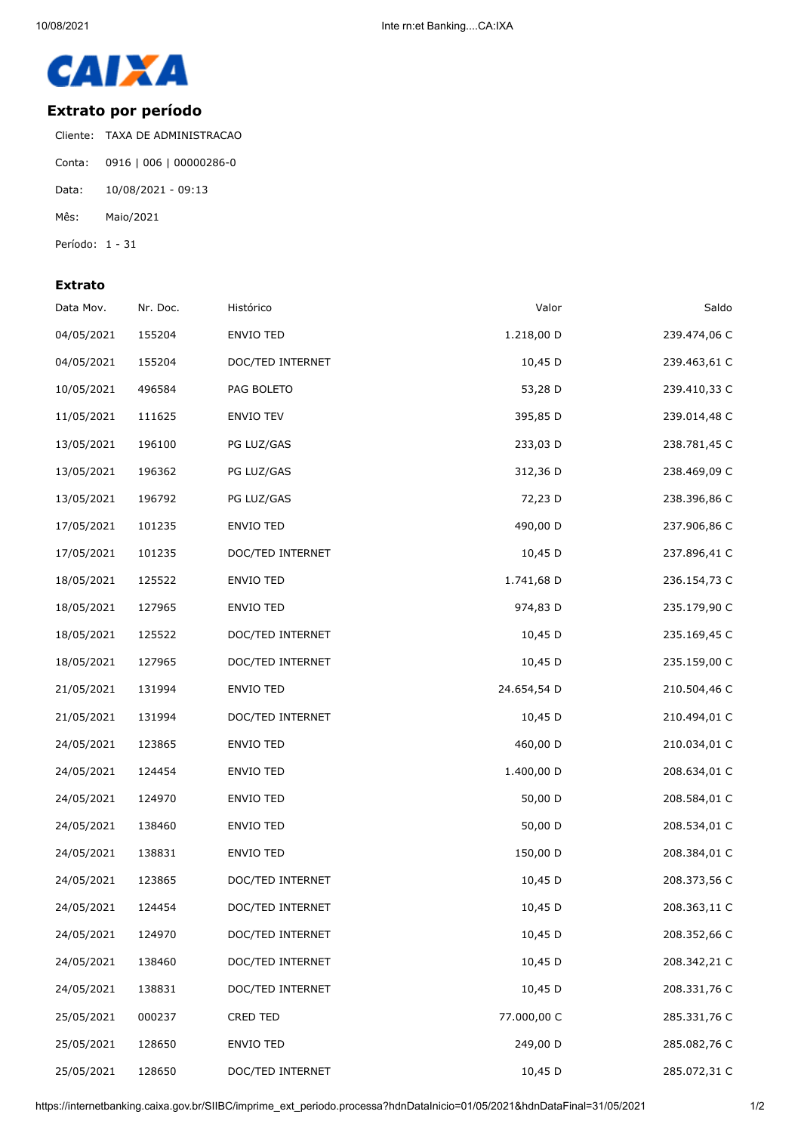

## **Extrato por período**

Cliente: TAXA DE ADMINISTRACAO Conta: 0916 | 006 | 00000286-0 Data: 10/08/2021 - 09:13 Mês: Maio/2021 Período: 1 - 31

## **Extrato**

| Data Mov.  | Nr. Doc. | Histórico        | Valor       | Saldo        |
|------------|----------|------------------|-------------|--------------|
| 04/05/2021 | 155204   | ENVIO TED        | 1.218,00 D  | 239.474,06 C |
| 04/05/2021 | 155204   | DOC/TED INTERNET | 10,45 D     | 239.463,61 C |
| 10/05/2021 | 496584   | PAG BOLETO       | 53,28 D     | 239.410,33 C |
| 11/05/2021 | 111625   | ENVIO TEV        | 395,85 D    | 239.014,48 C |
| 13/05/2021 | 196100   | PG LUZ/GAS       | 233,03 D    | 238.781,45 C |
| 13/05/2021 | 196362   | PG LUZ/GAS       | 312,36 D    | 238.469,09 C |
| 13/05/2021 | 196792   | PG LUZ/GAS       | 72,23 D     | 238.396,86 C |
| 17/05/2021 | 101235   | ENVIO TED        | 490,00 D    | 237.906,86 C |
| 17/05/2021 | 101235   | DOC/TED INTERNET | 10,45 D     | 237.896,41 C |
| 18/05/2021 | 125522   | ENVIO TED        | 1.741,68 D  | 236.154,73 C |
| 18/05/2021 | 127965   | ENVIO TED        | 974,83 D    | 235.179,90 C |
| 18/05/2021 | 125522   | DOC/TED INTERNET | 10,45 D     | 235.169,45 C |
| 18/05/2021 | 127965   | DOC/TED INTERNET | 10,45 D     | 235.159,00 C |
| 21/05/2021 | 131994   | ENVIO TED        | 24.654,54 D | 210.504,46 C |
| 21/05/2021 | 131994   | DOC/TED INTERNET | 10,45 D     | 210.494,01 C |
| 24/05/2021 | 123865   | ENVIO TED        | 460,00 D    | 210.034,01 C |
| 24/05/2021 | 124454   | ENVIO TED        | 1.400,00 D  | 208.634,01 C |
| 24/05/2021 | 124970   | ENVIO TED        | 50,00 D     | 208.584,01 C |
| 24/05/2021 | 138460   | ENVIO TED        | 50,00 D     | 208.534,01 C |
| 24/05/2021 | 138831   | ENVIO TED        | 150,00 D    | 208.384,01 C |
| 24/05/2021 | 123865   | DOC/TED INTERNET | 10,45 D     | 208.373,56 C |
| 24/05/2021 | 124454   | DOC/TED INTERNET | $10,45$ D   | 208.363,11 C |
| 24/05/2021 | 124970   | DOC/TED INTERNET | 10,45 D     | 208.352,66 C |
| 24/05/2021 | 138460   | DOC/TED INTERNET | 10,45 D     | 208.342,21 C |
| 24/05/2021 | 138831   | DOC/TED INTERNET | 10,45 D     | 208.331,76 C |
| 25/05/2021 | 000237   | CRED TED         | 77.000,00 C | 285.331,76 C |
| 25/05/2021 | 128650   | ENVIO TED        | 249,00 D    | 285.082,76 C |
| 25/05/2021 | 128650   | DOC/TED INTERNET | 10,45 D     | 285.072,31 C |

https://internetbanking.caixa.gov.br/SIIBC/imprime\_ext\_periodo.processa?hdnDataInicio=01/05/2021&hdnDataFinal=31/05/2021